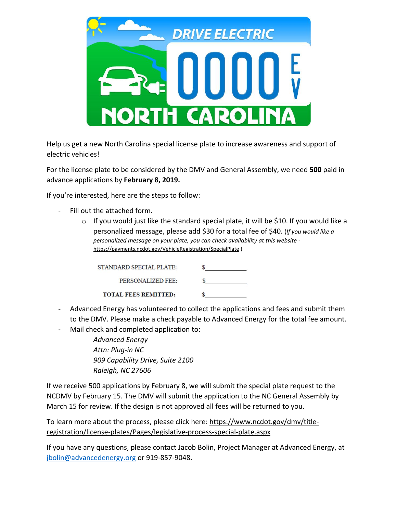

Help us get a new North Carolina special license plate to increase awareness and support of electric vehicles!

For the license plate to be considered by the DMV and General Assembly, we need **500** paid in advance applications by **February 8, 2019.**

If you're interested, here are the steps to follow:

- Fill out the attached form.
	- o If you would just like the standard special plate, it will be \$10. If you would like a personalized message, please add \$30 for a total fee of \$40. (*If you would like a personalized message on your plate, you can check availability at this website*  <https://payments.ncdot.gov/VehicleRegistration/SpecialPlate> )

| STANDARD SPECIAL PLATE:     |  |
|-----------------------------|--|
| PERSONALIZED FEE:           |  |
| <b>TOTAL FEES REMITTED:</b> |  |

- Advanced Energy has volunteered to collect the applications and fees and submit them to the DMV. Please make a check payable to Advanced Energy for the total fee amount.
- Mail check and completed application to:

*Advanced Energy Attn: Plug-in NC 909 Capability Drive, Suite 2100 Raleigh, NC 27606*

If we receive 500 applications by February 8, we will submit the special plate request to the NCDMV by February 15. The DMV will submit the application to the NC General Assembly by March 15 for review. If the design is not approved all fees will be returned to you.

To learn more about the process, please click here: [https://www.ncdot.gov/dmv/title](https://www.ncdot.gov/dmv/title-registration/license-plates/Pages/legislative-process-special-plate.aspx)[registration/license-plates/Pages/legislative-process-special-plate.aspx](https://www.ncdot.gov/dmv/title-registration/license-plates/Pages/legislative-process-special-plate.aspx)

If you have any questions, please contact Jacob Bolin, Project Manager at Advanced Energy, at [jbolin@advancedenergy.org](mailto:jbolin@advancedenergy.org) or 919-857-9048.